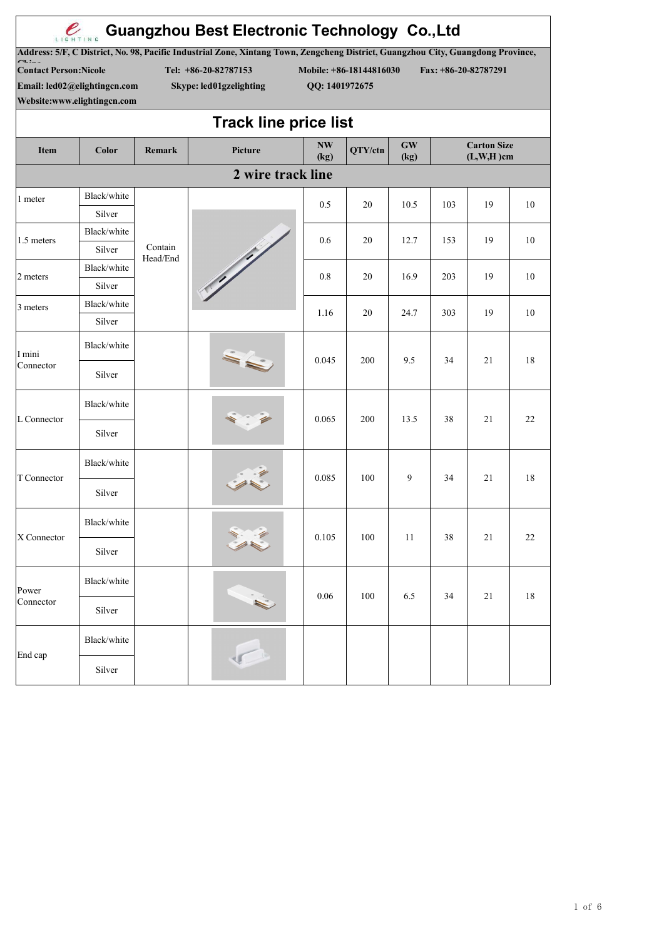| LIGHTING                                                                                     |                       |                     | <b>Guangzhou Best Electronic Technology Co., Ltd</b>                                                                                                                                |                   |                         |                                    |                                      |                      |                          |  |
|----------------------------------------------------------------------------------------------|-----------------------|---------------------|-------------------------------------------------------------------------------------------------------------------------------------------------------------------------------------|-------------------|-------------------------|------------------------------------|--------------------------------------|----------------------|--------------------------|--|
| <b>Contact Person: Nicole</b><br>Email: led02@elightingcn.com<br>Website:www.elightingcn.com |                       |                     | Address: 5/F, C District, No. 98, Pacific Industrial Zone, Xintang Town, Zengcheng District, Guangzhou City, Guangdong Province,<br>Tel: +86-20-82787153<br>Skype: led01gzelighting | QQ: 1401972675    | Mobile: +86-18144816030 |                                    |                                      | Fax: +86-20-82787291 |                          |  |
|                                                                                              |                       |                     | <b>Track line price list</b>                                                                                                                                                        |                   |                         |                                    |                                      |                      |                          |  |
| Item                                                                                         | Color                 | Remark              | Picture                                                                                                                                                                             | <b>NW</b><br>(kg) | QTY/ctn                 | $\boldsymbol{\mathrm{GW}}$<br>(kg) | <b>Carton Size</b><br>$(L, W, H)$ cm |                      |                          |  |
|                                                                                              |                       |                     | 2 wire track line                                                                                                                                                                   |                   |                         |                                    |                                      |                      |                          |  |
| 1 meter                                                                                      | Black/white<br>Silver |                     |                                                                                                                                                                                     | 0.5               | 20                      | 10.5                               | 103                                  | 19                   | 10                       |  |
| 1.5 meters                                                                                   | Black/white<br>Silver | Contain<br>Head/End |                                                                                                                                                                                     | 0.6               | 20                      | 12.7                               | 153                                  | 19                   | 10                       |  |
| 2 meters                                                                                     | Black/white<br>Silver |                     |                                                                                                                                                                                     | $0.8\,$           | 20                      | 16.9                               | 203                                  | 19                   | 10                       |  |
| 3 meters                                                                                     | Black/white<br>Silver |                     |                                                                                                                                                                                     | 1.16              | 20                      | 24.7                               | 303                                  | 19                   | 10                       |  |
| I mini                                                                                       | Black/white           |                     |                                                                                                                                                                                     | 0.045             | 200                     | 9.5                                | 34                                   | 21                   |                          |  |
| Connector                                                                                    | Silver                |                     |                                                                                                                                                                                     |                   |                         |                                    |                                      |                      |                          |  |
| L Connector                                                                                  | Black/white           |                     |                                                                                                                                                                                     | 0.065             | 200                     | 13.5                               | 38                                   | 21                   | 22                       |  |
|                                                                                              | Silver                |                     |                                                                                                                                                                                     |                   |                         |                                    |                                      |                      |                          |  |
| T Connector                                                                                  | Black/white           |                     |                                                                                                                                                                                     | 0.085             | 100                     | 9                                  | 34                                   | 21                   | 18<br>18<br>$22\,$<br>18 |  |
|                                                                                              | Silver                |                     |                                                                                                                                                                                     |                   |                         |                                    |                                      |                      |                          |  |
| X Connector                                                                                  | Black/white<br>0.105  | 100                 | 11                                                                                                                                                                                  | 38                | 21                      |                                    |                                      |                      |                          |  |
|                                                                                              | Silver                |                     |                                                                                                                                                                                     |                   |                         |                                    |                                      |                      |                          |  |
| Power<br>Connector                                                                           | Black/white           |                     |                                                                                                                                                                                     | 0.06              | 100                     | 6.5                                | 34                                   | 21                   |                          |  |
|                                                                                              | Silver                |                     |                                                                                                                                                                                     |                   |                         |                                    |                                      |                      |                          |  |
| End cap                                                                                      | Black/white<br>Silver |                     |                                                                                                                                                                                     |                   |                         |                                    |                                      |                      |                          |  |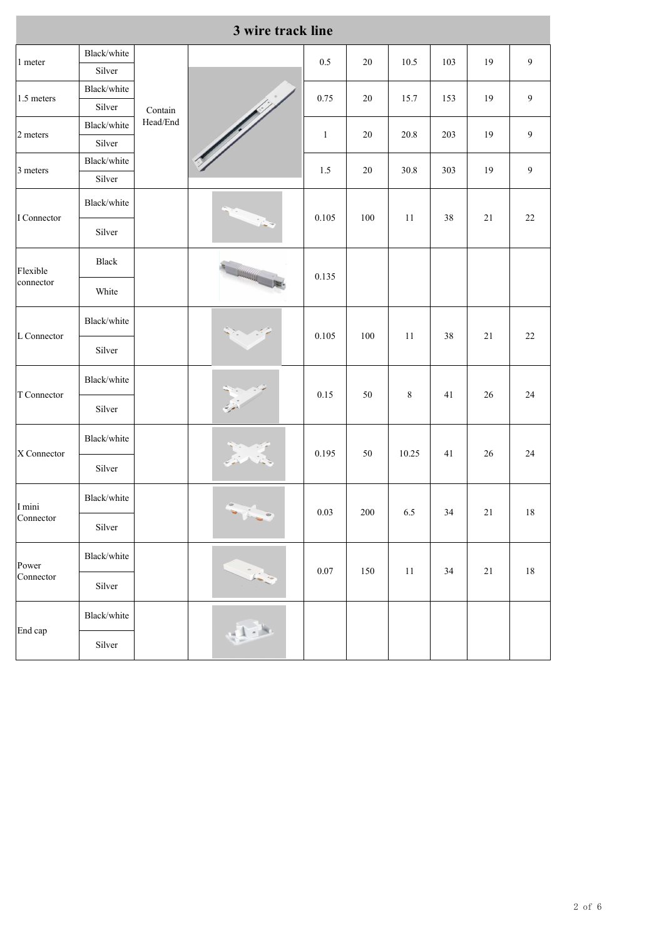|                       |                       |          | 3 wire track line                                                                                                                                                                                                                |              |                                                                                                                                                                                                                                                                        |       |        |        |                  |
|-----------------------|-----------------------|----------|----------------------------------------------------------------------------------------------------------------------------------------------------------------------------------------------------------------------------------|--------------|------------------------------------------------------------------------------------------------------------------------------------------------------------------------------------------------------------------------------------------------------------------------|-------|--------|--------|------------------|
| 1 meter               | Black/white<br>Silver |          |                                                                                                                                                                                                                                  | $0.5\,$      | $20\,$                                                                                                                                                                                                                                                                 | 10.5  | 103    | 19     | $\boldsymbol{9}$ |
|                       | Black/white           |          | e di più de la conservazione di conservazione di conservazione di conservazione di conservazione di conservazi<br>La conservazione di conservazione di conservazione di conservazione di conservazione di conservazione di conse |              |                                                                                                                                                                                                                                                                        |       |        |        |                  |
| 1.5 meters            | Silver                | Contain  |                                                                                                                                                                                                                                  | 0.75         | $20\,$                                                                                                                                                                                                                                                                 | 15.7  | 153    | 19     | $\boldsymbol{9}$ |
|                       | Black/white           | Head/End |                                                                                                                                                                                                                                  |              |                                                                                                                                                                                                                                                                        |       |        |        |                  |
| 2 meters              | Silver                |          |                                                                                                                                                                                                                                  | $\mathbf{1}$ |                                                                                                                                                                                                                                                                        |       |        |        |                  |
| 3 meters              | Black/white           |          |                                                                                                                                                                                                                                  | $1.5\,$      |                                                                                                                                                                                                                                                                        |       |        |        |                  |
|                       | Silver                |          |                                                                                                                                                                                                                                  |              |                                                                                                                                                                                                                                                                        |       |        |        |                  |
| I Connector           | Black/white           |          |                                                                                                                                                                                                                                  | 0.105        | $100\,$                                                                                                                                                                                                                                                                | 11    | $38\,$ | $21\,$ |                  |
|                       | Silver                |          |                                                                                                                                                                                                                                  |              |                                                                                                                                                                                                                                                                        |       |        |        |                  |
| Flexible<br>connector | Black                 |          |                                                                                                                                                                                                                                  | 0.135        |                                                                                                                                                                                                                                                                        |       |        |        |                  |
|                       | White                 |          |                                                                                                                                                                                                                                  |              |                                                                                                                                                                                                                                                                        |       |        |        |                  |
| L Connector           | Black/white           |          |                                                                                                                                                                                                                                  | 0.105        |                                                                                                                                                                                                                                                                        |       |        |        |                  |
|                       | Silver                |          |                                                                                                                                                                                                                                  |              |                                                                                                                                                                                                                                                                        |       |        |        |                  |
| T Connector           | Black/white           |          |                                                                                                                                                                                                                                  | 0.15         |                                                                                                                                                                                                                                                                        |       | 41     | 26     | $24\,$           |
|                       | Silver                |          |                                                                                                                                                                                                                                  |              |                                                                                                                                                                                                                                                                        |       |        |        |                  |
| X Connector           | Black/white           |          |                                                                                                                                                                                                                                  | 0.195        |                                                                                                                                                                                                                                                                        | 10.25 | 41     | $26\,$ | 24               |
|                       | Silver                |          |                                                                                                                                                                                                                                  |              |                                                                                                                                                                                                                                                                        |       |        |        |                  |
| I mini                | Black/white           |          | $\mathbf{v}$ , $\mathbf{v}$ , $\mathbf{v}$                                                                                                                                                                                       | 0.03         |                                                                                                                                                                                                                                                                        |       |        |        |                  |
| Connector             | Silver                |          |                                                                                                                                                                                                                                  |              |                                                                                                                                                                                                                                                                        |       |        |        |                  |
| Power                 | Black/white           |          |                                                                                                                                                                                                                                  | $0.07\,$     | 19<br>$20.8\,$<br>203<br>9<br>$20\,$<br>$\boldsymbol{9}$<br>$20\,$<br>30.8<br>303<br>19<br>$22\,$<br>$100\,$<br>11<br>$21\,$<br>$22\,$<br>$38\,$<br>$\,8\,$<br>$50\,$<br>$50\,$<br>$200\,$<br>$6.5\,$<br>$21\,$<br>$18\,$<br>34<br>150<br>11<br>$21\,$<br>$18\,$<br>34 |       |        |        |                  |
| Connector             | Silver                |          |                                                                                                                                                                                                                                  |              |                                                                                                                                                                                                                                                                        |       |        |        |                  |
| End cap               | Black/white           |          | 1.1                                                                                                                                                                                                                              |              |                                                                                                                                                                                                                                                                        |       |        |        |                  |
|                       | Silver                |          |                                                                                                                                                                                                                                  |              |                                                                                                                                                                                                                                                                        |       |        |        |                  |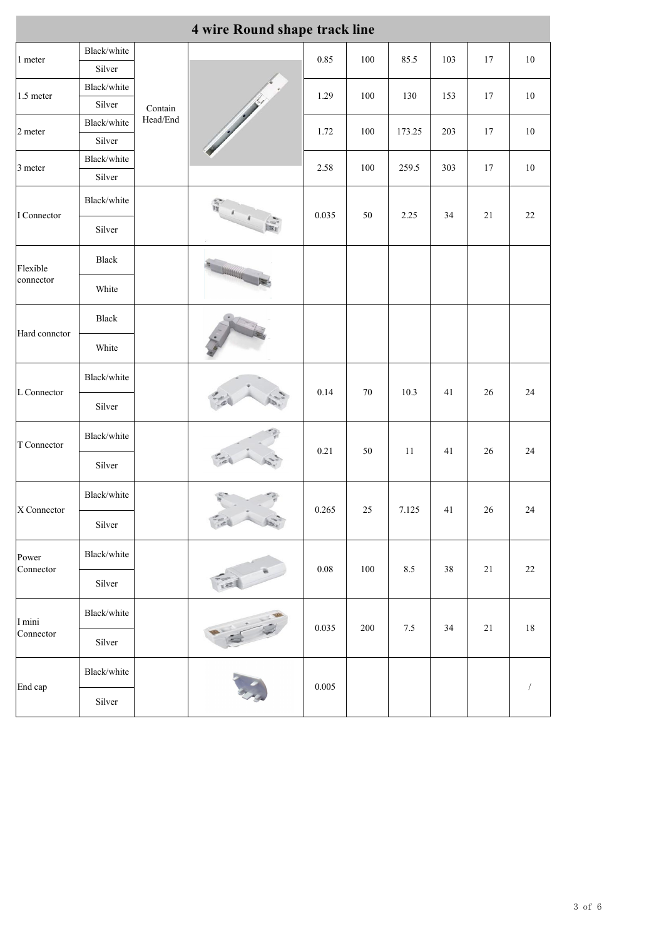| 4 wire Round shape track line                                                                                              |                       |                     |                      |          |                                                                                                                                                   |                                                                                                                                                                                                                                                    |         |        |        |  |
|----------------------------------------------------------------------------------------------------------------------------|-----------------------|---------------------|----------------------|----------|---------------------------------------------------------------------------------------------------------------------------------------------------|----------------------------------------------------------------------------------------------------------------------------------------------------------------------------------------------------------------------------------------------------|---------|--------|--------|--|
| 1 meter                                                                                                                    | Black/white           |                     |                      |          |                                                                                                                                                   |                                                                                                                                                                                                                                                    |         |        |        |  |
|                                                                                                                            | Silver                |                     |                      |          |                                                                                                                                                   |                                                                                                                                                                                                                                                    |         |        |        |  |
| 1.5 meter                                                                                                                  | Black/white           | Contain<br>Head/End |                      | 1.29     | $100\,$                                                                                                                                           | 130                                                                                                                                                                                                                                                | 153     | $17\,$ | $10\,$ |  |
|                                                                                                                            | Silver                |                     |                      |          |                                                                                                                                                   |                                                                                                                                                                                                                                                    |         |        |        |  |
| 2 meter                                                                                                                    | Black/white<br>Silver |                     |                      | 1.72     | $100\,$                                                                                                                                           | 173.25                                                                                                                                                                                                                                             | $203\,$ | $17\,$ | 10     |  |
|                                                                                                                            | Black/white           |                     |                      |          |                                                                                                                                                   |                                                                                                                                                                                                                                                    |         |        |        |  |
| 3 meter                                                                                                                    | Silver                |                     |                      | $2.58\,$ | $100\,$                                                                                                                                           | 259.5                                                                                                                                                                                                                                              | 303     | $17\,$ | $10\,$ |  |
|                                                                                                                            | Black/white           |                     |                      |          |                                                                                                                                                   |                                                                                                                                                                                                                                                    |         |        |        |  |
|                                                                                                                            | Silver                |                     |                      |          |                                                                                                                                                   | 85.5<br>103<br>17<br>$10\,$<br>2.25<br>34<br>$21\,$<br>$22\,$<br>10.3<br>26<br>$24\,$<br>41<br>$24\,$<br>11<br>$26\,$<br>41<br>7.125<br>$24\,$<br>41<br>26<br>8.5<br>$38\,$<br>$21\,$<br>$22\,$<br>$7.5\,$<br>$21\,$<br>$18\,$<br>34<br>$\sqrt{2}$ |         |        |        |  |
|                                                                                                                            | Black                 |                     |                      |          |                                                                                                                                                   |                                                                                                                                                                                                                                                    |         |        |        |  |
|                                                                                                                            | White                 |                     |                      |          |                                                                                                                                                   |                                                                                                                                                                                                                                                    |         |        |        |  |
| Hard connetor                                                                                                              | Black                 |                     |                      |          |                                                                                                                                                   |                                                                                                                                                                                                                                                    |         |        |        |  |
|                                                                                                                            | White                 |                     |                      |          |                                                                                                                                                   |                                                                                                                                                                                                                                                    |         |        |        |  |
| L Connector                                                                                                                | Black/white           |                     |                      |          |                                                                                                                                                   |                                                                                                                                                                                                                                                    |         |        |        |  |
|                                                                                                                            | Silver                |                     |                      |          |                                                                                                                                                   |                                                                                                                                                                                                                                                    |         |        |        |  |
|                                                                                                                            | Black/white           |                     |                      |          | 0.85<br>$100\,$<br>0.035<br>$50\,$<br>$70\,$<br>0.14<br>$0.21\,$<br>$50\,$<br>0.265<br>$25\,$<br>$0.08\,$<br>$100\,$<br>0.035<br>$200\,$<br>0.005 |                                                                                                                                                                                                                                                    |         |        |        |  |
|                                                                                                                            | Silver                |                     |                      |          |                                                                                                                                                   |                                                                                                                                                                                                                                                    |         |        |        |  |
| I Connector<br>Flexible<br>connector<br>T Connector<br>X Connector<br>Power<br>Connector<br>I mini<br>Connector<br>End cap | Black/white           |                     | $\frac{1}{\sqrt{2}}$ |          |                                                                                                                                                   |                                                                                                                                                                                                                                                    |         |        |        |  |
|                                                                                                                            | Silver                |                     |                      |          |                                                                                                                                                   |                                                                                                                                                                                                                                                    |         |        |        |  |
|                                                                                                                            | Black/white           |                     |                      |          |                                                                                                                                                   |                                                                                                                                                                                                                                                    |         |        |        |  |
|                                                                                                                            | Silver                |                     |                      |          |                                                                                                                                                   |                                                                                                                                                                                                                                                    |         |        |        |  |
|                                                                                                                            | Black/white           |                     |                      |          |                                                                                                                                                   |                                                                                                                                                                                                                                                    |         |        |        |  |
|                                                                                                                            | Silver                |                     |                      |          |                                                                                                                                                   |                                                                                                                                                                                                                                                    |         |        |        |  |
|                                                                                                                            | Black/white           |                     |                      |          |                                                                                                                                                   |                                                                                                                                                                                                                                                    |         |        |        |  |
|                                                                                                                            | Silver                |                     |                      |          |                                                                                                                                                   |                                                                                                                                                                                                                                                    |         |        |        |  |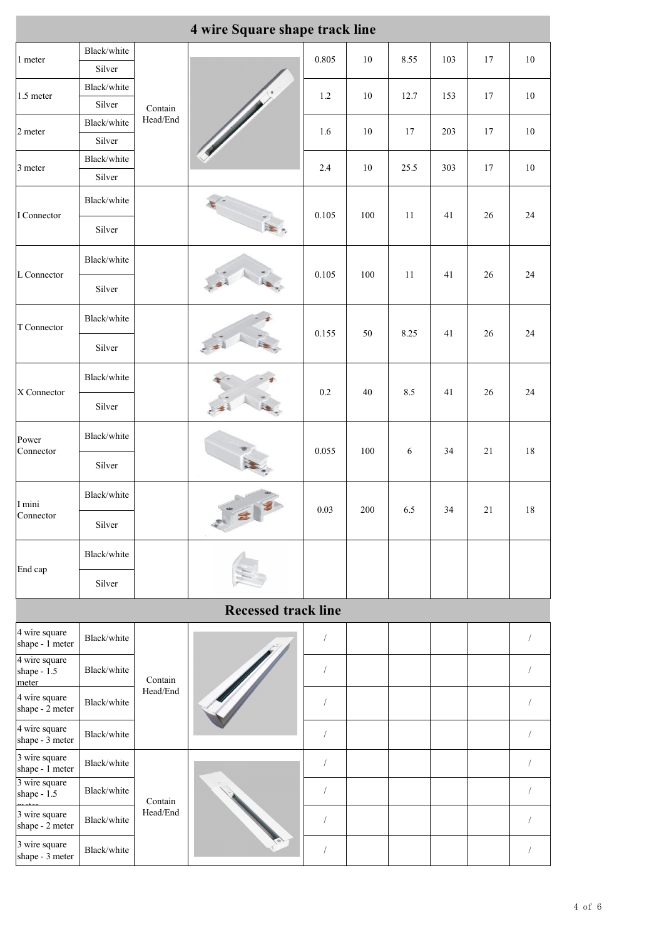| 4 wire Square shape track line        |                       |                                            |                                 |                |         |            |     |        |                |  |
|---------------------------------------|-----------------------|--------------------------------------------|---------------------------------|----------------|---------|------------|-----|--------|----------------|--|
| 1 meter                               | Black/white           |                                            |                                 | 0.805          | $10\,$  | 8.55       | 103 | $17\,$ | $10\,$         |  |
|                                       | Silver                | Contain<br>Head/End<br>Contain<br>Head/End |                                 |                |         |            |     |        |                |  |
| 1.5 meter                             | Black/white<br>Silver |                                            |                                 | $1.2\,$        | $10\,$  | 12.7       | 153 | $17\,$ | $10\,$         |  |
|                                       | Black/white           |                                            |                                 |                |         |            |     |        |                |  |
| 2 meter                               | Silver                |                                            |                                 | 1.6            | $10\,$  | 17         | 203 | $17\,$ | 10             |  |
| 3 meter                               | Black/white           |                                            |                                 | $2.4\,$        | $10\,$  | 25.5       | 303 | $17\,$ | $10\,$         |  |
|                                       | Silver                |                                            |                                 |                |         |            |     |        |                |  |
| I Connector                           | Black/white           |                                            |                                 | 0.105          | $100\,$ | $11$       | 41  | 26     | $24\,$         |  |
|                                       | Silver                |                                            | $rac{1}{16}$                    |                |         |            |     |        |                |  |
| L Connector<br>X Connector            | Black/white           |                                            |                                 | 0.105          | $100\,$ | 11         | 41  | $26\,$ | $24\,$         |  |
|                                       | Silver                |                                            |                                 |                |         |            |     |        |                |  |
| T Connector                           | Black/white           |                                            |                                 |                | $50\,$  | 8.25       | 41  | 26     | $24\,$         |  |
|                                       | Silver                |                                            |                                 | 0.155          |         |            |     |        |                |  |
|                                       | Black/white           |                                            |                                 |                |         |            |     |        |                |  |
|                                       | Silver                |                                            |                                 | $0.2\,$        | $40\,$  | $8.5\,$    | 41  | 26     | $24\,$         |  |
| Power<br>Connector                    | Black/white           |                                            | 医                               | 0.055          | $100\,$ | $\sqrt{6}$ | 34  | $21\,$ | $18\,$         |  |
|                                       | Silver                |                                            |                                 |                |         |            |     |        |                |  |
| I mini                                | Black/white           |                                            | 0.03<br>$\mathbf{z}$            |                |         |            |     |        |                |  |
| Connector                             | Silver                |                                            |                                 |                | $200\,$ | $6.5\,$    | 34  | $21\,$ | $18\,$         |  |
| End cap                               | Black/white           |                                            |                                 |                |         |            |     |        |                |  |
|                                       | Silver                |                                            |                                 |                |         |            |     |        |                |  |
|                                       |                       |                                            | <b>Recessed track line</b>      |                |         |            |     |        |                |  |
| 4 wire square<br>shape - 1 meter      | Black/white           |                                            |                                 | $\sqrt{2}$     |         |            |     |        | $\sqrt{2}$     |  |
| 4 wire square<br>shape - 1.5<br>meter | Black/white           |                                            |                                 |                |         |            |     |        | $\sqrt{2}$     |  |
| 4 wire square<br>shape - 2 meter      | Black/white           |                                            |                                 | $\sqrt{2}$     |         |            |     |        | $\sqrt{2}$     |  |
| 4 wire square<br>shape - 3 meter      | Black/white           |                                            |                                 | $\sqrt{2}$     |         |            |     |        | $\overline{1}$ |  |
| 3 wire square<br>shape - 1 meter      | Black/white           |                                            |                                 | $\sqrt{2}$     |         |            |     |        | $\sqrt{2}$     |  |
| 3 wire square<br>shape $-1.5$         | Black/white           | Contain                                    | The Contract of the Contract of | $\sqrt{ }$     |         |            |     |        | $\overline{1}$ |  |
| 3 wire square<br>shape - 2 meter      | Black/white           | Head/End                                   |                                 | $\overline{1}$ |         |            |     |        | $\sqrt{2}$     |  |
| 3 wire square<br>shape - 3 meter      | Black/white           |                                            |                                 | $\sqrt{2}$     |         |            |     |        | $\sqrt{2}$     |  |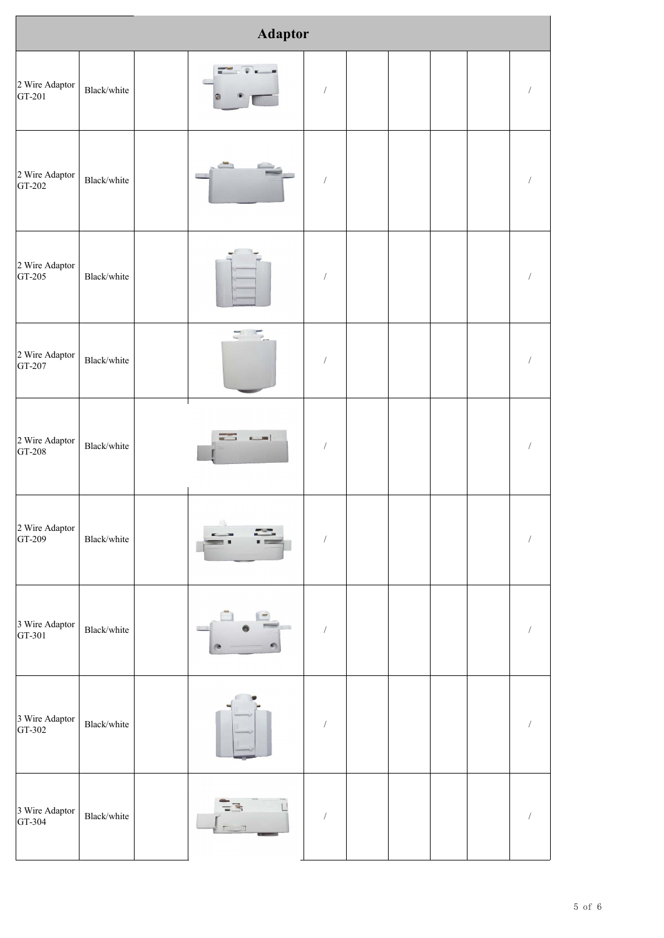| <b>Adaptor</b>           |             |  |                        |                      |  |  |  |  |                      |  |
|--------------------------|-------------|--|------------------------|----------------------|--|--|--|--|----------------------|--|
| 2 Wire Adaptor<br>GT-201 | Black/white |  |                        | $\sqrt{2}$           |  |  |  |  | $\bigg)$             |  |
| 2 Wire Adaptor<br>GT-202 | Black/white |  |                        | $\sqrt{\phantom{a}}$ |  |  |  |  | $\sqrt{\phantom{a}}$ |  |
| 2 Wire Adaptor<br>GT-205 | Black/white |  |                        | /                    |  |  |  |  | $\sqrt{ }$           |  |
| 2 Wire Adaptor<br>GT-207 | Black/white |  | $\Xi^-$<br>$F_{\rm e}$ | $\sqrt{2}$           |  |  |  |  | $\bigg)$             |  |
| 2 Wire Adaptor<br>GT-208 | Black/white |  | $\sim$                 | $\sqrt{ }$           |  |  |  |  | $\sqrt{ }$           |  |
| 2 Wire Adaptor<br>GT-209 | Black/white |  |                        | $\sqrt{2}$           |  |  |  |  | $\sqrt{2}$           |  |
| 3 Wire Adaptor<br>GT-301 | Black/white |  |                        | $\sqrt{\phantom{a}}$ |  |  |  |  | $\sqrt{ }$           |  |
| 3 Wire Adaptor<br>GT-302 | Black/white |  |                        | $\sqrt{\phantom{a}}$ |  |  |  |  | $\sqrt{ }$           |  |
| 3 Wire Adaptor<br>GT-304 | Black/white |  | $\Box$<br>宆            | $\sqrt{2}$           |  |  |  |  | $\sqrt{ }$           |  |